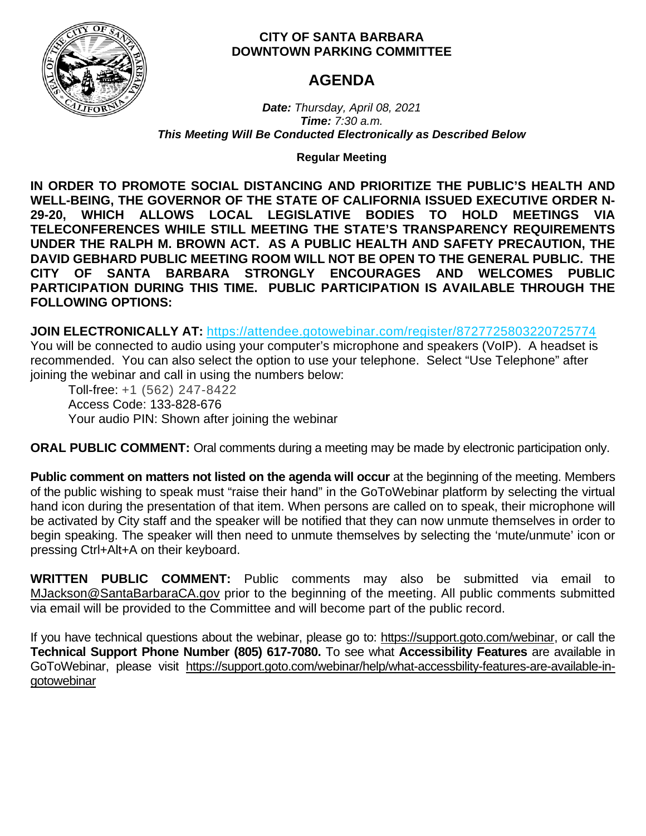

## **CITY OF SANTA BARBARA DOWNTOWN PARKING COMMITTEE**

## **AGENDA**

*Date: Thursday, April 08, 2021 Time: 7:30 a.m. This Meeting Will Be Conducted Electronically as Described Below*

**Regular Meeting**

**IN ORDER TO PROMOTE SOCIAL DISTANCING AND PRIORITIZE THE PUBLIC'S HEALTH AND WELL-BEING, THE GOVERNOR OF THE STATE OF CALIFORNIA ISSUED EXECUTIVE ORDER N-29-20, WHICH ALLOWS LOCAL LEGISLATIVE BODIES TO HOLD MEETINGS VIA TELECONFERENCES WHILE STILL MEETING THE STATE'S TRANSPARENCY REQUIREMENTS UNDER THE RALPH M. BROWN ACT. AS A PUBLIC HEALTH AND SAFETY PRECAUTION, THE DAVID GEBHARD PUBLIC MEETING ROOM WILL NOT BE OPEN TO THE GENERAL PUBLIC. THE CITY OF SANTA BARBARA STRONGLY ENCOURAGES AND WELCOMES PUBLIC PARTICIPATION DURING THIS TIME. PUBLIC PARTICIPATION IS AVAILABLE THROUGH THE FOLLOWING OPTIONS:**

**JOIN ELECTRONICALLY AT:** <https://attendee.gotowebinar.com/register/8727725803220725774>

You will be connected to audio using your computer's microphone and speakers (VoIP). A headset is recommended. You can also select the option to use your telephone. Select "Use Telephone" after joining the webinar and call in using the numbers below:

Toll-free: +1 (562) 247-8422 Access Code: 133-828-676 Your audio PIN: Shown after joining the webinar

**ORAL PUBLIC COMMENT:** Oral comments during a meeting may be made by electronic participation only.

**Public comment on matters not listed on the agenda will occur** at the beginning of the meeting. Members of the public wishing to speak must "raise their hand" in the GoToWebinar platform by selecting the virtual hand icon during the presentation of that item. When persons are called on to speak, their microphone will be activated by City staff and the speaker will be notified that they can now unmute themselves in order to begin speaking. The speaker will then need to unmute themselves by selecting the 'mute/unmute' icon or pressing Ctrl+Alt+A on their keyboard.

**WRITTEN PUBLIC COMMENT:** Public comments may also be submitted via email to [MJackson@SantaBarbaraCA.gov](mailto:MJackson@SantaBarbaraCA.gov) prior to the beginning of the meeting. All public comments submitted via email will be provided to the Committee and will become part of the public record.

If you have technical questions about the webinar, please go to: [https://support.goto.com/webinar,](https://support.goto.com/webinar) or call the **Technical Support Phone Number (805) 617-7080.** To see what **Accessibility Features** are available in GoToWebinar, please visit [https://support.goto.com/webinar/help/what-accessbility-features-are-available-in](https://support.goto.com/webinar/help/what-accessbility-features-are-available-in-gotowebinar)[gotowebinar](https://support.goto.com/webinar/help/what-accessbility-features-are-available-in-gotowebinar)